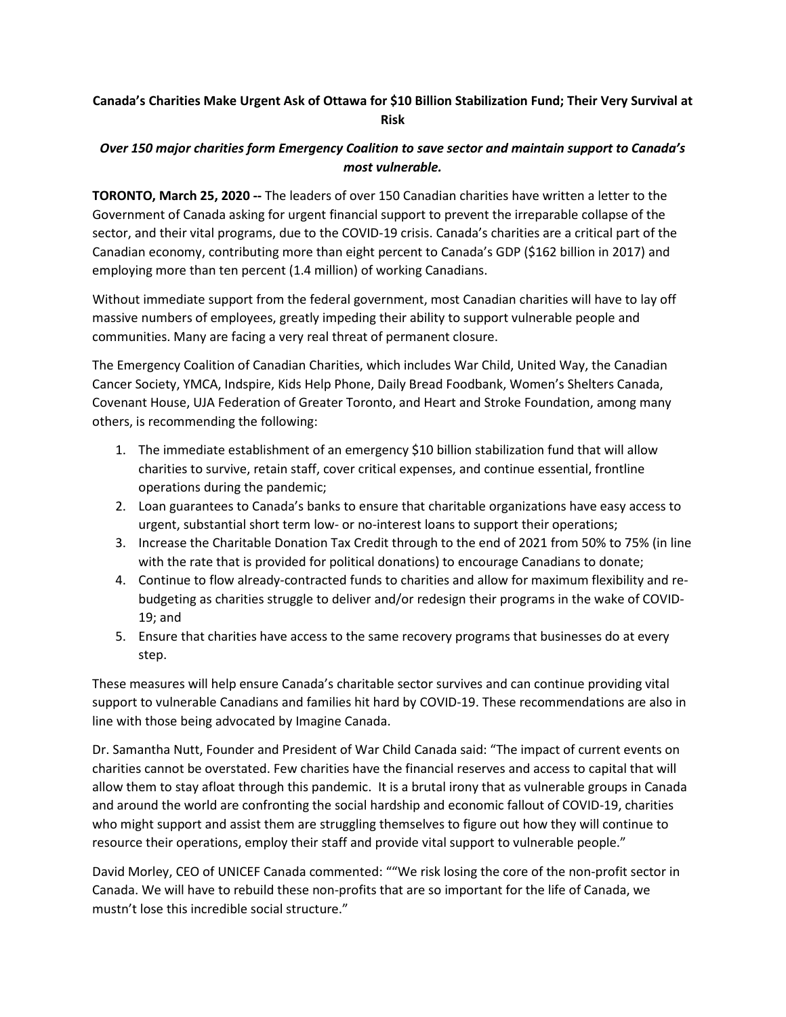## **Canada's Charities Make Urgent Ask of Ottawa for \$10 Billion Stabilization Fund; Their Very Survival at Risk**

## *Over 150 major charities form Emergency Coalition to save sector and maintain support to Canada's most vulnerable.*

**TORONTO, March 25, 2020 --** The leaders of over 150 Canadian charities have written a letter to the Government of Canada asking for urgent financial support to prevent the irreparable collapse of the sector, and their vital programs, due to the COVID-19 crisis. Canada's charities are a critical part of the Canadian economy, contributing more than eight percent to Canada's GDP (\$162 billion in 2017) and employing more than ten percent (1.4 million) of working Canadians.

Without immediate support from the federal government, most Canadian charities will have to lay off massive numbers of employees, greatly impeding their ability to support vulnerable people and communities. Many are facing a very real threat of permanent closure.

The Emergency Coalition of Canadian Charities, which includes War Child, United Way, the Canadian Cancer Society, YMCA, Indspire, Kids Help Phone, Daily Bread Foodbank, Women's Shelters Canada, Covenant House, UJA Federation of Greater Toronto, and Heart and Stroke Foundation, among many others, is recommending the following:

- 1. The immediate establishment of an emergency \$10 billion stabilization fund that will allow charities to survive, retain staff, cover critical expenses, and continue essential, frontline operations during the pandemic;
- 2. Loan guarantees to Canada's banks to ensure that charitable organizations have easy access to urgent, substantial short term low- or no-interest loans to support their operations;
- 3. Increase the Charitable Donation Tax Credit through to the end of 2021 from 50% to 75% (in line with the rate that is provided for political donations) to encourage Canadians to donate;
- 4. Continue to flow already-contracted funds to charities and allow for maximum flexibility and rebudgeting as charities struggle to deliver and/or redesign their programs in the wake of COVID-19; and
- 5. Ensure that charities have access to the same recovery programs that businesses do at every step.

These measures will help ensure Canada's charitable sector survives and can continue providing vital support to vulnerable Canadians and families hit hard by COVID-19. These recommendations are also in line with those being advocated by Imagine Canada.

Dr. Samantha Nutt, Founder and President of War Child Canada said: "The impact of current events on charities cannot be overstated. Few charities have the financial reserves and access to capital that will allow them to stay afloat through this pandemic. It is a brutal irony that as vulnerable groups in Canada and around the world are confronting the social hardship and economic fallout of COVID-19, charities who might support and assist them are struggling themselves to figure out how they will continue to resource their operations, employ their staff and provide vital support to vulnerable people."

David Morley, CEO of UNICEF Canada commented: ""We risk losing the core of the non-profit sector in Canada. We will have to rebuild these non-profits that are so important for the life of Canada, we mustn't lose this incredible social structure."